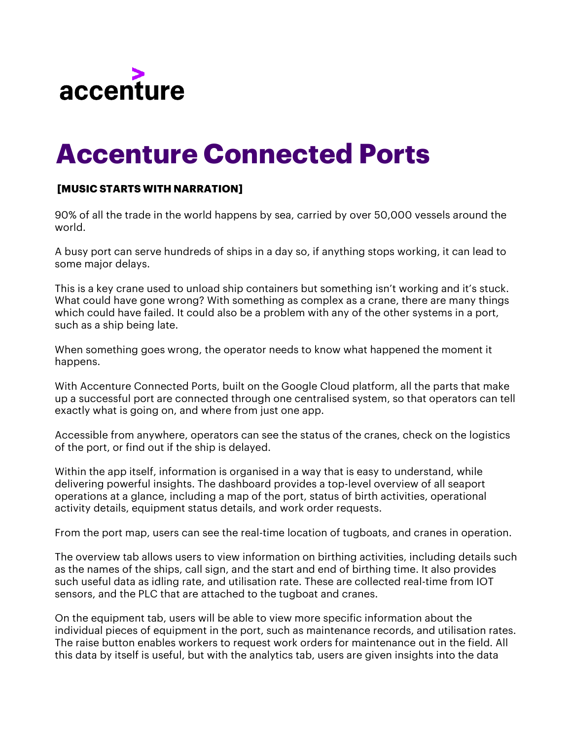

## **Accenture Connected Ports**

## **[MUSIC STARTS WITH NARRATION]**

90% of all the trade in the world happens by sea, carried by over 50,000 vessels around the world.

A busy port can serve hundreds of ships in a day so, if anything stops working, it can lead to some major delays.

This is a key crane used to unload ship containers but something isn't working and it's stuck. What could have gone wrong? With something as complex as a crane, there are many things which could have failed. It could also be a problem with any of the other systems in a port, such as a ship being late.

When something goes wrong, the operator needs to know what happened the moment it happens.

With Accenture Connected Ports, built on the Google Cloud platform, all the parts that make up a successful port are connected through one centralised system, so that operators can tell exactly what is going on, and where from just one app.

Accessible from anywhere, operators can see the status of the cranes, check on the logistics of the port, or find out if the ship is delayed.

Within the app itself, information is organised in a way that is easy to understand, while delivering powerful insights. The dashboard provides a top-level overview of all seaport operations at a glance, including a map of the port, status of birth activities, operational activity details, equipment status details, and work order requests.

From the port map, users can see the real-time location of tugboats, and cranes in operation.

The overview tab allows users to view information on birthing activities, including details such as the names of the ships, call sign, and the start and end of birthing time. It also provides such useful data as idling rate, and utilisation rate. These are collected real-time from IOT sensors, and the PLC that are attached to the tugboat and cranes.

On the equipment tab, users will be able to view more specific information about the individual pieces of equipment in the port, such as maintenance records, and utilisation rates. The raise button enables workers to request work orders for maintenance out in the field. All this data by itself is useful, but with the analytics tab, users are given insights into the data